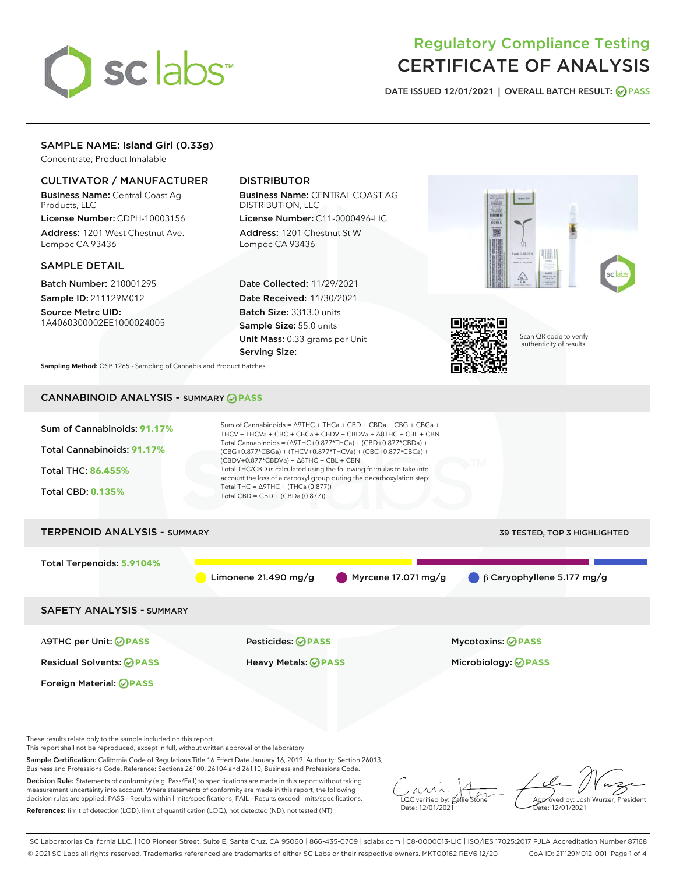

# Regulatory Compliance Testing CERTIFICATE OF ANALYSIS

DATE ISSUED 12/01/2021 | OVERALL BATCH RESULT: @ PASS

# SAMPLE NAME: Island Girl (0.33g)

Concentrate, Product Inhalable

# CULTIVATOR / MANUFACTURER

Business Name: Central Coast Ag Products, LLC

License Number: CDPH-10003156 Address: 1201 West Chestnut Ave. Lompoc CA 93436

#### SAMPLE DETAIL

Batch Number: 210001295 Sample ID: 211129M012

Source Metrc UID: 1A4060300002EE1000024005

# DISTRIBUTOR

Business Name: CENTRAL COAST AG DISTRIBUTION, LLC License Number: C11-0000496-LIC

Address: 1201 Chestnut St W Lompoc CA 93436

Date Collected: 11/29/2021 Date Received: 11/30/2021 Batch Size: 3313.0 units Sample Size: 55.0 units Unit Mass: 0.33 grams per Unit Serving Size:





Scan QR code to verify authenticity of results.

Sampling Method: QSP 1265 - Sampling of Cannabis and Product Batches

# CANNABINOID ANALYSIS - SUMMARY **PASS**



This report shall not be reproduced, except in full, without written approval of the laboratory.

Sample Certification: California Code of Regulations Title 16 Effect Date January 16, 2019. Authority: Section 26013, Business and Professions Code. Reference: Sections 26100, 26104 and 26110, Business and Professions Code.

Decision Rule: Statements of conformity (e.g. Pass/Fail) to specifications are made in this report without taking measurement uncertainty into account. Where statements of conformity are made in this report, the following decision rules are applied: PASS – Results within limits/specifications, FAIL – Results exceed limits/specifications. References: limit of detection (LOD), limit of quantification (LOQ), not detected (ND), not tested (NT)

 $\overline{\text{C}}$  verified by:  $\mathcal C$ Date: 12/01/2021

Aved by: Josh Wurzer, President ate: 12/01/2021

SC Laboratories California LLC. | 100 Pioneer Street, Suite E, Santa Cruz, CA 95060 | 866-435-0709 | sclabs.com | C8-0000013-LIC | ISO/IES 17025:2017 PJLA Accreditation Number 87168 © 2021 SC Labs all rights reserved. Trademarks referenced are trademarks of either SC Labs or their respective owners. MKT00162 REV6 12/20 CoA ID: 211129M012-001 Page 1 of 4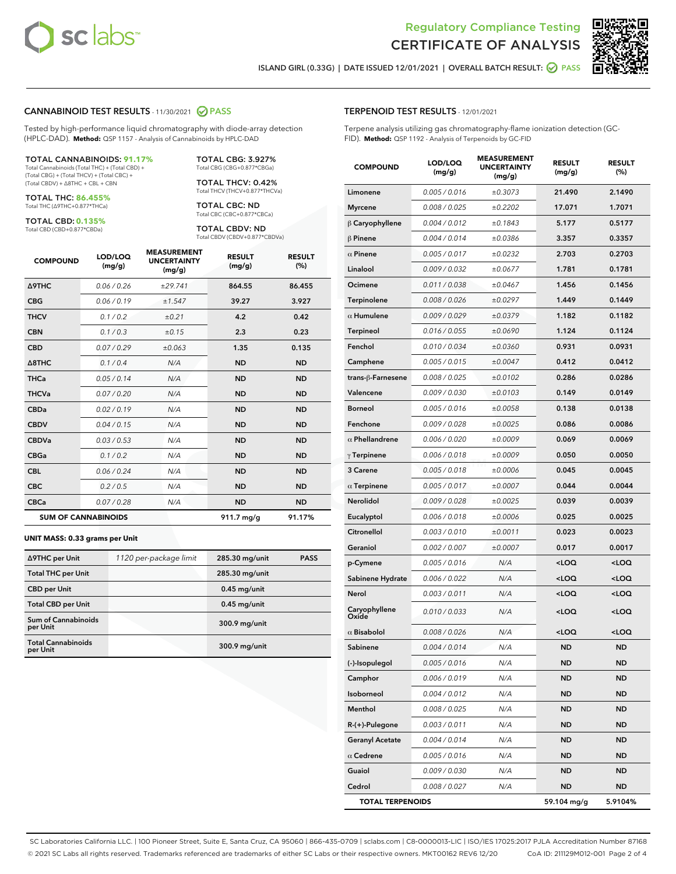



ISLAND GIRL (0.33G) | DATE ISSUED 12/01/2021 | OVERALL BATCH RESULT: **⊘** PASS

#### CANNABINOID TEST RESULTS - 11/30/2021 2 PASS

Tested by high-performance liquid chromatography with diode-array detection (HPLC-DAD). **Method:** QSP 1157 - Analysis of Cannabinoids by HPLC-DAD

#### TOTAL CANNABINOIDS: **91.17%**

Total Cannabinoids (Total THC) + (Total CBD) + (Total CBG) + (Total THCV) + (Total CBC) + (Total CBDV) + ∆8THC + CBL + CBN

TOTAL THC: **86.455%** Total THC (∆9THC+0.877\*THCa)

TOTAL CBD: **0.135%**

Total CBD (CBD+0.877\*CBDa)

TOTAL CBG: 3.927% Total CBG (CBG+0.877\*CBGa)

TOTAL THCV: 0.42% Total THCV (THCV+0.877\*THCVa)

TOTAL CBC: ND Total CBC (CBC+0.877\*CBCa)

TOTAL CBDV: ND Total CBDV (CBDV+0.877\*CBDVa)

| <b>COMPOUND</b>  | LOD/LOQ<br>(mg/g)          | <b>MEASUREMENT</b><br><b>UNCERTAINTY</b><br>(mg/g) | <b>RESULT</b><br>(mg/g) | <b>RESULT</b><br>(%) |
|------------------|----------------------------|----------------------------------------------------|-------------------------|----------------------|
| <b>A9THC</b>     | 0.06 / 0.26                | ±29.741                                            | 864.55                  | 86.455               |
| <b>CBG</b>       | 0.06/0.19                  | ±1.547                                             | 39.27                   | 3.927                |
| <b>THCV</b>      | 0.1 / 0.2                  | ±0.21                                              | 4.2                     | 0.42                 |
| <b>CBN</b>       | 0.1 / 0.3                  | ±0.15                                              | 2.3                     | 0.23                 |
| <b>CBD</b>       | 0.07/0.29                  | ±0.063                                             | 1.35                    | 0.135                |
| $\triangle$ 8THC | 0.1/0.4                    | N/A                                                | <b>ND</b>               | <b>ND</b>            |
| <b>THCa</b>      | 0.05/0.14                  | N/A                                                | <b>ND</b>               | <b>ND</b>            |
| <b>THCVa</b>     | 0.07/0.20                  | N/A                                                | <b>ND</b>               | <b>ND</b>            |
| <b>CBDa</b>      | 0.02/0.19                  | N/A                                                | <b>ND</b>               | <b>ND</b>            |
| <b>CBDV</b>      | 0.04/0.15                  | N/A                                                | <b>ND</b>               | <b>ND</b>            |
| <b>CBDVa</b>     | 0.03/0.53                  | N/A                                                | <b>ND</b>               | <b>ND</b>            |
| <b>CBGa</b>      | 0.1/0.2                    | N/A                                                | <b>ND</b>               | <b>ND</b>            |
| <b>CBL</b>       | 0.06 / 0.24                | N/A                                                | <b>ND</b>               | <b>ND</b>            |
| <b>CBC</b>       | 0.2 / 0.5                  | N/A                                                | <b>ND</b>               | <b>ND</b>            |
| <b>CBCa</b>      | 0.07 / 0.28                | N/A                                                | <b>ND</b>               | <b>ND</b>            |
|                  | <b>SUM OF CANNABINOIDS</b> |                                                    | 911.7 mg/g              | 91.17%               |

#### **UNIT MASS: 0.33 grams per Unit**

| ∆9THC per Unit                         | 1120 per-package limit | 285.30 mg/unit | <b>PASS</b> |
|----------------------------------------|------------------------|----------------|-------------|
| <b>Total THC per Unit</b>              |                        | 285.30 mg/unit |             |
| <b>CBD</b> per Unit                    |                        | $0.45$ mg/unit |             |
| <b>Total CBD per Unit</b>              |                        | $0.45$ mg/unit |             |
| <b>Sum of Cannabinoids</b><br>per Unit |                        | 300.9 mg/unit  |             |
| <b>Total Cannabinoids</b><br>per Unit  |                        | 300.9 mg/unit  |             |

| <b>COMPOUND</b>         | LOD/LOQ<br>(mg/g) | <b>MEASUREMENT</b><br><b>UNCERTAINTY</b><br>(mg/g) | <b>RESULT</b><br>(mg/g)                         | <b>RESULT</b><br>(%) |
|-------------------------|-------------------|----------------------------------------------------|-------------------------------------------------|----------------------|
| Limonene                | 0.005 / 0.016     | ±0.3073                                            | 21.490                                          | 2.1490               |
| <b>Myrcene</b>          | 0.008 / 0.025     | ±0.2202                                            | 17.071                                          | 1.7071               |
| $\upbeta$ Caryophyllene | 0.004 / 0.012     | ±0.1843                                            | 5.177                                           | 0.5177               |
| $\beta$ Pinene          | 0.004 / 0.014     | ±0.0386                                            | 3.357                                           | 0.3357               |
| $\alpha$ Pinene         | 0.005 / 0.017     | ±0.0232                                            | 2.703                                           | 0.2703               |
| Linalool                | 0.009/0.032       | ±0.0677                                            | 1.781                                           | 0.1781               |
| Ocimene                 | 0.011 / 0.038     | ±0.0467                                            | 1.456                                           | 0.1456               |
| Terpinolene             | 0.008 / 0.026     | ±0.0297                                            | 1.449                                           | 0.1449               |
| $\alpha$ Humulene       | 0.009 / 0.029     | ±0.0379                                            | 1.182                                           | 0.1182               |
| Terpineol               | 0.016 / 0.055     | ±0.0690                                            | 1.124                                           | 0.1124               |
| Fenchol                 | 0.010 / 0.034     | ±0.0360                                            | 0.931                                           | 0.0931               |
| Camphene                | 0.005 / 0.015     | ±0.0047                                            | 0.412                                           | 0.0412               |
| trans-ß-Farnesene       | 0.008 / 0.025     | ±0.0102                                            | 0.286                                           | 0.0286               |
| Valencene               | 0.009 / 0.030     | ±0.0103                                            | 0.149                                           | 0.0149               |
| <b>Borneol</b>          | 0.005 / 0.016     | ±0.0058                                            | 0.138                                           | 0.0138               |
| Fenchone                | 0.009 / 0.028     | ±0.0025                                            | 0.086                                           | 0.0086               |
| $\alpha$ Phellandrene   | 0.006 / 0.020     | ±0.0009                                            | 0.069                                           | 0.0069               |
| $\gamma$ Terpinene      | 0.006 / 0.018     | ±0.0009                                            | 0.050                                           | 0.0050               |
| 3 Carene                | 0.005 / 0.018     | ±0.0006                                            | 0.045                                           | 0.0045               |
| $\alpha$ Terpinene      | 0.005 / 0.017     | ±0.0007                                            | 0.044                                           | 0.0044               |
| Nerolidol               | 0.009 / 0.028     | ±0.0025                                            | 0.039                                           | 0.0039               |
| Eucalyptol              | 0.006 / 0.018     | ±0.0006                                            | 0.025                                           | 0.0025               |
| Citronellol             | 0.003 / 0.010     | ±0.0011                                            | 0.023                                           | 0.0023               |
| Geraniol                | 0.002 / 0.007     | ±0.0007                                            | 0.017                                           | 0.0017               |
| p-Cymene                | 0.005 / 0.016     | N/A                                                | $<$ LOQ                                         | $<$ LOQ              |
| Sabinene Hydrate        | 0.006 / 0.022     | N/A                                                | <loq< th=""><th><loq< th=""></loq<></th></loq<> | <loq< th=""></loq<>  |
| Nerol                   | 0.003/0.011       | N/A                                                | <loq< th=""><th><loq< th=""></loq<></th></loq<> | <loq< th=""></loq<>  |
| Caryophyllene<br>Oxide  | 0.010 / 0.033     | N/A                                                | <loq< th=""><th><loq< th=""></loq<></th></loq<> | <loq< th=""></loq<>  |
| $\alpha$ Bisabolol      | 0.008 / 0.026     | N/A                                                | <loq< th=""><th><loq< th=""></loq<></th></loq<> | <loq< th=""></loq<>  |
| Sabinene                | 0.004 / 0.014     | N/A                                                | <b>ND</b>                                       | <b>ND</b>            |
| (-)-Isopulegol          | 0.005 / 0.016     | N/A                                                | ND                                              | ND                   |
| Camphor                 | 0.006 / 0.019     | N/A                                                | <b>ND</b>                                       | ND                   |
| Isoborneol              | 0.004 / 0.012     | N/A                                                | ND                                              | ND                   |
| Menthol                 | 0.008 / 0.025     | N/A                                                | ND                                              | ND                   |
| R-(+)-Pulegone          | 0.003 / 0.011     | N/A                                                | <b>ND</b>                                       | ND                   |
| <b>Geranyl Acetate</b>  | 0.004 / 0.014     | N/A                                                | <b>ND</b>                                       | ND                   |
| $\alpha$ Cedrene        | 0.005 / 0.016     | N/A                                                | ND                                              | ND                   |
| Guaiol                  | 0.009 / 0.030     | N/A                                                | <b>ND</b>                                       | ND                   |
| Cedrol                  | 0.008 / 0.027     | N/A                                                | ND                                              | ND                   |
| <b>TOTAL TERPENOIDS</b> |                   |                                                    | 59.104 mg/g                                     | 5.9104%              |

SC Laboratories California LLC. | 100 Pioneer Street, Suite E, Santa Cruz, CA 95060 | 866-435-0709 | sclabs.com | C8-0000013-LIC | ISO/IES 17025:2017 PJLA Accreditation Number 87168 © 2021 SC Labs all rights reserved. Trademarks referenced are trademarks of either SC Labs or their respective owners. MKT00162 REV6 12/20 CoA ID: 211129M012-001 Page 2 of 4

# TERPENOID TEST RESULTS - 12/01/2021

Terpene analysis utilizing gas chromatography-flame ionization detection (GC-FID). **Method:** QSP 1192 - Analysis of Terpenoids by GC-FID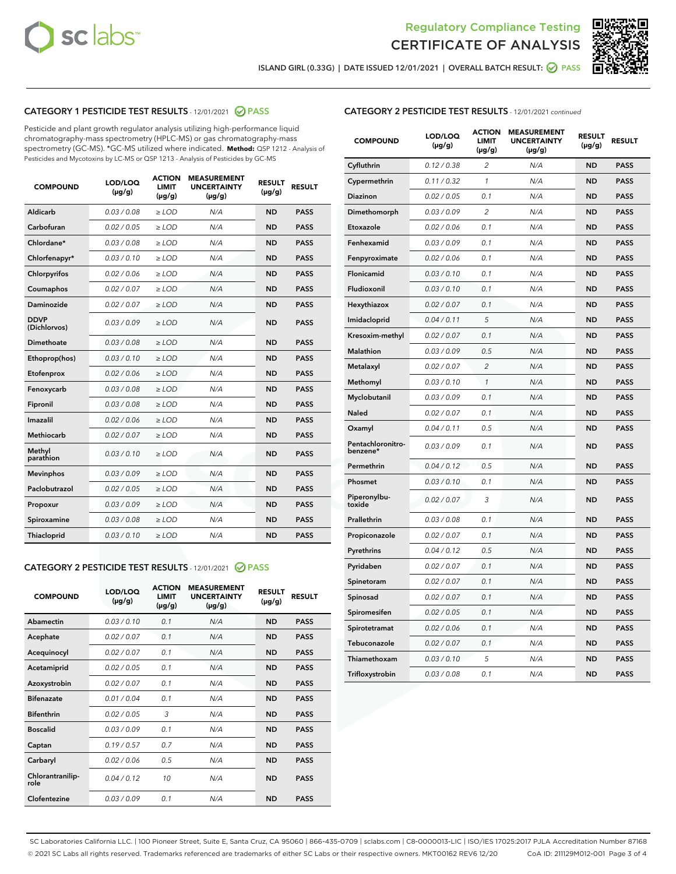



ISLAND GIRL (0.33G) | DATE ISSUED 12/01/2021 | OVERALL BATCH RESULT: ● PASS

# CATEGORY 1 PESTICIDE TEST RESULTS - 12/01/2021 2 PASS

Pesticide and plant growth regulator analysis utilizing high-performance liquid chromatography-mass spectrometry (HPLC-MS) or gas chromatography-mass spectrometry (GC-MS). \*GC-MS utilized where indicated. **Method:** QSP 1212 - Analysis of Pesticides and Mycotoxins by LC-MS or QSP 1213 - Analysis of Pesticides by GC-MS

| 0.03 / 0.08<br><b>ND</b><br><b>PASS</b><br>Aldicarb<br>$\ge$ LOD<br>N/A<br>Carbofuran<br>0.02 / 0.05<br>N/A<br>$\ge$ LOD<br><b>ND</b><br><b>PASS</b><br>Chlordane*<br>0.03 / 0.08<br>$\ge$ LOD<br>N/A<br><b>ND</b><br><b>PASS</b><br>Chlorfenapyr*<br>0.03/0.10<br>$\ge$ LOD<br>N/A<br><b>ND</b><br><b>PASS</b><br>0.02 / 0.06<br>N/A<br><b>ND</b><br><b>PASS</b><br>Chlorpyrifos<br>$\ge$ LOD<br>N/A<br>Coumaphos<br>0.02 / 0.07<br><b>ND</b><br><b>PASS</b><br>$\ge$ LOD<br>Daminozide<br>0.02 / 0.07<br>N/A<br><b>ND</b><br><b>PASS</b><br>$\ge$ LOD<br><b>DDVP</b><br>0.03/0.09<br>$>$ LOD<br>N/A<br><b>ND</b><br><b>PASS</b><br>(Dichlorvos)<br>Dimethoate<br>0.03/0.08<br>$\ge$ LOD<br>N/A<br><b>PASS</b><br><b>ND</b><br>0.03 / 0.10<br>N/A<br><b>ND</b><br><b>PASS</b><br>Ethoprop(hos)<br>$>$ LOD<br>0.02 / 0.06<br>N/A<br><b>ND</b><br><b>PASS</b><br>$\ge$ LOD<br>Etofenprox<br>Fenoxycarb<br>0.03/0.08<br>$\ge$ LOD<br>N/A<br><b>ND</b><br><b>PASS</b><br>0.03/0.08<br>$\ge$ LOD<br>N/A<br><b>ND</b><br><b>PASS</b><br>Fipronil<br>Imazalil<br>0.02 / 0.06<br>$>$ LOD<br>N/A<br><b>ND</b><br><b>PASS</b><br><b>Methiocarb</b><br>0.02 / 0.07<br>$\ge$ LOD<br>N/A<br><b>ND</b><br><b>PASS</b><br>Methyl<br>0.03/0.10<br>N/A<br><b>ND</b><br>$\ge$ LOD<br><b>PASS</b><br>parathion<br>0.03/0.09<br><b>Mevinphos</b><br>$\ge$ LOD<br>N/A<br><b>ND</b><br><b>PASS</b><br>Paclobutrazol<br>0.02 / 0.05<br>N/A<br>$>$ LOD<br><b>ND</b><br><b>PASS</b><br>0.03/0.09<br>N/A<br>$\ge$ LOD<br><b>ND</b><br><b>PASS</b><br>Propoxur<br>0.03 / 0.08<br><b>ND</b><br><b>PASS</b><br>Spiroxamine<br>$\ge$ LOD<br>N/A<br>Thiacloprid<br>0.03/0.10<br>N/A<br><b>ND</b><br><b>PASS</b><br>$\ge$ LOD | <b>COMPOUND</b> | LOD/LOQ<br>$(\mu g/g)$ | <b>ACTION</b><br><b>LIMIT</b><br>$(\mu g/g)$ | <b>MEASUREMENT</b><br><b>UNCERTAINTY</b><br>$(\mu g/g)$ | <b>RESULT</b><br>$(\mu g/g)$ | <b>RESULT</b> |
|------------------------------------------------------------------------------------------------------------------------------------------------------------------------------------------------------------------------------------------------------------------------------------------------------------------------------------------------------------------------------------------------------------------------------------------------------------------------------------------------------------------------------------------------------------------------------------------------------------------------------------------------------------------------------------------------------------------------------------------------------------------------------------------------------------------------------------------------------------------------------------------------------------------------------------------------------------------------------------------------------------------------------------------------------------------------------------------------------------------------------------------------------------------------------------------------------------------------------------------------------------------------------------------------------------------------------------------------------------------------------------------------------------------------------------------------------------------------------------------------------------------------------------------------------------------------------------------------------------------------------------------------------------------------------------------------|-----------------|------------------------|----------------------------------------------|---------------------------------------------------------|------------------------------|---------------|
|                                                                                                                                                                                                                                                                                                                                                                                                                                                                                                                                                                                                                                                                                                                                                                                                                                                                                                                                                                                                                                                                                                                                                                                                                                                                                                                                                                                                                                                                                                                                                                                                                                                                                                |                 |                        |                                              |                                                         |                              |               |
|                                                                                                                                                                                                                                                                                                                                                                                                                                                                                                                                                                                                                                                                                                                                                                                                                                                                                                                                                                                                                                                                                                                                                                                                                                                                                                                                                                                                                                                                                                                                                                                                                                                                                                |                 |                        |                                              |                                                         |                              |               |
|                                                                                                                                                                                                                                                                                                                                                                                                                                                                                                                                                                                                                                                                                                                                                                                                                                                                                                                                                                                                                                                                                                                                                                                                                                                                                                                                                                                                                                                                                                                                                                                                                                                                                                |                 |                        |                                              |                                                         |                              |               |
|                                                                                                                                                                                                                                                                                                                                                                                                                                                                                                                                                                                                                                                                                                                                                                                                                                                                                                                                                                                                                                                                                                                                                                                                                                                                                                                                                                                                                                                                                                                                                                                                                                                                                                |                 |                        |                                              |                                                         |                              |               |
|                                                                                                                                                                                                                                                                                                                                                                                                                                                                                                                                                                                                                                                                                                                                                                                                                                                                                                                                                                                                                                                                                                                                                                                                                                                                                                                                                                                                                                                                                                                                                                                                                                                                                                |                 |                        |                                              |                                                         |                              |               |
|                                                                                                                                                                                                                                                                                                                                                                                                                                                                                                                                                                                                                                                                                                                                                                                                                                                                                                                                                                                                                                                                                                                                                                                                                                                                                                                                                                                                                                                                                                                                                                                                                                                                                                |                 |                        |                                              |                                                         |                              |               |
|                                                                                                                                                                                                                                                                                                                                                                                                                                                                                                                                                                                                                                                                                                                                                                                                                                                                                                                                                                                                                                                                                                                                                                                                                                                                                                                                                                                                                                                                                                                                                                                                                                                                                                |                 |                        |                                              |                                                         |                              |               |
|                                                                                                                                                                                                                                                                                                                                                                                                                                                                                                                                                                                                                                                                                                                                                                                                                                                                                                                                                                                                                                                                                                                                                                                                                                                                                                                                                                                                                                                                                                                                                                                                                                                                                                |                 |                        |                                              |                                                         |                              |               |
|                                                                                                                                                                                                                                                                                                                                                                                                                                                                                                                                                                                                                                                                                                                                                                                                                                                                                                                                                                                                                                                                                                                                                                                                                                                                                                                                                                                                                                                                                                                                                                                                                                                                                                |                 |                        |                                              |                                                         |                              |               |
|                                                                                                                                                                                                                                                                                                                                                                                                                                                                                                                                                                                                                                                                                                                                                                                                                                                                                                                                                                                                                                                                                                                                                                                                                                                                                                                                                                                                                                                                                                                                                                                                                                                                                                |                 |                        |                                              |                                                         |                              |               |
|                                                                                                                                                                                                                                                                                                                                                                                                                                                                                                                                                                                                                                                                                                                                                                                                                                                                                                                                                                                                                                                                                                                                                                                                                                                                                                                                                                                                                                                                                                                                                                                                                                                                                                |                 |                        |                                              |                                                         |                              |               |
|                                                                                                                                                                                                                                                                                                                                                                                                                                                                                                                                                                                                                                                                                                                                                                                                                                                                                                                                                                                                                                                                                                                                                                                                                                                                                                                                                                                                                                                                                                                                                                                                                                                                                                |                 |                        |                                              |                                                         |                              |               |
|                                                                                                                                                                                                                                                                                                                                                                                                                                                                                                                                                                                                                                                                                                                                                                                                                                                                                                                                                                                                                                                                                                                                                                                                                                                                                                                                                                                                                                                                                                                                                                                                                                                                                                |                 |                        |                                              |                                                         |                              |               |
|                                                                                                                                                                                                                                                                                                                                                                                                                                                                                                                                                                                                                                                                                                                                                                                                                                                                                                                                                                                                                                                                                                                                                                                                                                                                                                                                                                                                                                                                                                                                                                                                                                                                                                |                 |                        |                                              |                                                         |                              |               |
|                                                                                                                                                                                                                                                                                                                                                                                                                                                                                                                                                                                                                                                                                                                                                                                                                                                                                                                                                                                                                                                                                                                                                                                                                                                                                                                                                                                                                                                                                                                                                                                                                                                                                                |                 |                        |                                              |                                                         |                              |               |
|                                                                                                                                                                                                                                                                                                                                                                                                                                                                                                                                                                                                                                                                                                                                                                                                                                                                                                                                                                                                                                                                                                                                                                                                                                                                                                                                                                                                                                                                                                                                                                                                                                                                                                |                 |                        |                                              |                                                         |                              |               |
|                                                                                                                                                                                                                                                                                                                                                                                                                                                                                                                                                                                                                                                                                                                                                                                                                                                                                                                                                                                                                                                                                                                                                                                                                                                                                                                                                                                                                                                                                                                                                                                                                                                                                                |                 |                        |                                              |                                                         |                              |               |
|                                                                                                                                                                                                                                                                                                                                                                                                                                                                                                                                                                                                                                                                                                                                                                                                                                                                                                                                                                                                                                                                                                                                                                                                                                                                                                                                                                                                                                                                                                                                                                                                                                                                                                |                 |                        |                                              |                                                         |                              |               |
|                                                                                                                                                                                                                                                                                                                                                                                                                                                                                                                                                                                                                                                                                                                                                                                                                                                                                                                                                                                                                                                                                                                                                                                                                                                                                                                                                                                                                                                                                                                                                                                                                                                                                                |                 |                        |                                              |                                                         |                              |               |
|                                                                                                                                                                                                                                                                                                                                                                                                                                                                                                                                                                                                                                                                                                                                                                                                                                                                                                                                                                                                                                                                                                                                                                                                                                                                                                                                                                                                                                                                                                                                                                                                                                                                                                |                 |                        |                                              |                                                         |                              |               |
|                                                                                                                                                                                                                                                                                                                                                                                                                                                                                                                                                                                                                                                                                                                                                                                                                                                                                                                                                                                                                                                                                                                                                                                                                                                                                                                                                                                                                                                                                                                                                                                                                                                                                                |                 |                        |                                              |                                                         |                              |               |

#### CATEGORY 2 PESTICIDE TEST RESULTS - 12/01/2021 @ PASS

| <b>COMPOUND</b>          | LOD/LOQ<br>$(\mu g/g)$ | <b>ACTION</b><br><b>LIMIT</b><br>$(\mu g/g)$ | <b>MEASUREMENT</b><br><b>UNCERTAINTY</b><br>$(\mu g/g)$ | <b>RESULT</b><br>$(\mu g/g)$ | <b>RESULT</b> |
|--------------------------|------------------------|----------------------------------------------|---------------------------------------------------------|------------------------------|---------------|
| Abamectin                | 0.03/0.10              | 0.1                                          | N/A                                                     | <b>ND</b>                    | <b>PASS</b>   |
| Acephate                 | 0.02/0.07              | 0.1                                          | N/A                                                     | <b>ND</b>                    | <b>PASS</b>   |
| Acequinocyl              | 0.02/0.07              | 0.1                                          | N/A                                                     | <b>ND</b>                    | <b>PASS</b>   |
| Acetamiprid              | 0.02/0.05              | 0.1                                          | N/A                                                     | <b>ND</b>                    | <b>PASS</b>   |
| Azoxystrobin             | 0 02 / 0 07            | 0.1                                          | N/A                                                     | <b>ND</b>                    | <b>PASS</b>   |
| <b>Bifenazate</b>        | 0.01/0.04              | 0.1                                          | N/A                                                     | <b>ND</b>                    | <b>PASS</b>   |
| <b>Bifenthrin</b>        | 0.02 / 0.05            | 3                                            | N/A                                                     | <b>ND</b>                    | <b>PASS</b>   |
| <b>Boscalid</b>          | 0.03/0.09              | 0.1                                          | N/A                                                     | <b>ND</b>                    | <b>PASS</b>   |
| Captan                   | 0.19/0.57              | 0.7                                          | N/A                                                     | <b>ND</b>                    | <b>PASS</b>   |
| Carbaryl                 | 0.02/0.06              | 0.5                                          | N/A                                                     | <b>ND</b>                    | <b>PASS</b>   |
| Chlorantranilip-<br>role | 0.04/0.12              | 10                                           | N/A                                                     | <b>ND</b>                    | <b>PASS</b>   |
| Clofentezine             | 0.03/0.09              | 0.1                                          | N/A                                                     | <b>ND</b>                    | <b>PASS</b>   |

### CATEGORY 2 PESTICIDE TEST RESULTS - 12/01/2021 continued

| <b>COMPOUND</b>               | LOD/LOQ<br>(µg/g) | <b>ACTION</b><br><b>LIMIT</b><br>$(\mu g/g)$ | <b>MEASUREMENT</b><br><b>UNCERTAINTY</b><br>$(\mu g/g)$ | <b>RESULT</b><br>(µg/g) | <b>RESULT</b> |
|-------------------------------|-------------------|----------------------------------------------|---------------------------------------------------------|-------------------------|---------------|
| Cyfluthrin                    | 0.12 / 0.38       | $\overline{c}$                               | N/A                                                     | ND                      | <b>PASS</b>   |
| Cypermethrin                  | 0.11 / 0.32       | $\mathcal{I}$                                | N/A                                                     | ND                      | <b>PASS</b>   |
| <b>Diazinon</b>               | 0.02 / 0.05       | 0.1                                          | N/A                                                     | <b>ND</b>               | <b>PASS</b>   |
| Dimethomorph                  | 0.03 / 0.09       | 2                                            | N/A                                                     | ND                      | <b>PASS</b>   |
| Etoxazole                     | 0.02 / 0.06       | 0.1                                          | N/A                                                     | ND                      | <b>PASS</b>   |
| Fenhexamid                    | 0.03 / 0.09       | 0.1                                          | N/A                                                     | ND                      | <b>PASS</b>   |
| Fenpyroximate                 | 0.02 / 0.06       | 0.1                                          | N/A                                                     | <b>ND</b>               | <b>PASS</b>   |
| Flonicamid                    | 0.03 / 0.10       | 0.1                                          | N/A                                                     | ND                      | <b>PASS</b>   |
| Fludioxonil                   | 0.03 / 0.10       | 0.1                                          | N/A                                                     | ND                      | <b>PASS</b>   |
| Hexythiazox                   | 0.02 / 0.07       | 0.1                                          | N/A                                                     | ND                      | <b>PASS</b>   |
| Imidacloprid                  | 0.04 / 0.11       | 5                                            | N/A                                                     | ND                      | <b>PASS</b>   |
| Kresoxim-methyl               | 0.02 / 0.07       | 0.1                                          | N/A                                                     | ND                      | <b>PASS</b>   |
| Malathion                     | 0.03 / 0.09       | 0.5                                          | N/A                                                     | <b>ND</b>               | <b>PASS</b>   |
| Metalaxyl                     | 0.02 / 0.07       | $\overline{c}$                               | N/A                                                     | ND                      | <b>PASS</b>   |
| Methomyl                      | 0.03 / 0.10       | 1                                            | N/A                                                     | ND                      | <b>PASS</b>   |
| Myclobutanil                  | 0.03 / 0.09       | 0.1                                          | N/A                                                     | <b>ND</b>               | <b>PASS</b>   |
| Naled                         | 0.02 / 0.07       | 0.1                                          | N/A                                                     | ND                      | <b>PASS</b>   |
| Oxamyl                        | 0.04 / 0.11       | 0.5                                          | N/A                                                     | ND                      | <b>PASS</b>   |
| Pentachloronitro-<br>benzene* | 0.03 / 0.09       | 0.1                                          | N/A                                                     | ND                      | <b>PASS</b>   |
| Permethrin                    | 0.04 / 0.12       | 0.5                                          | N/A                                                     | ND                      | <b>PASS</b>   |
| Phosmet                       | 0.03 / 0.10       | 0.1                                          | N/A                                                     | ND                      | <b>PASS</b>   |
| Piperonylbu-<br>toxide        | 0.02 / 0.07       | 3                                            | N/A                                                     | ND                      | <b>PASS</b>   |
| Prallethrin                   | 0.03 / 0.08       | 0.1                                          | N/A                                                     | ND                      | <b>PASS</b>   |
| Propiconazole                 | 0.02 / 0.07       | 0.1                                          | N/A                                                     | ND                      | <b>PASS</b>   |
| Pyrethrins                    | 0.04 / 0.12       | 0.5                                          | N/A                                                     | ND                      | <b>PASS</b>   |
| Pyridaben                     | 0.02 / 0.07       | 0.1                                          | N/A                                                     | <b>ND</b>               | <b>PASS</b>   |
| Spinetoram                    | 0.02 / 0.07       | 0.1                                          | N/A                                                     | ND                      | <b>PASS</b>   |
| Spinosad                      | 0.02 / 0.07       | 0.1                                          | N/A                                                     | ND                      | <b>PASS</b>   |
| Spiromesifen                  | 0.02 / 0.05       | 0.1                                          | N/A                                                     | <b>ND</b>               | <b>PASS</b>   |
| Spirotetramat                 | 0.02 / 0.06       | 0.1                                          | N/A                                                     | ND                      | <b>PASS</b>   |
| Tebuconazole                  | 0.02 / 0.07       | 0.1                                          | N/A                                                     | ND                      | <b>PASS</b>   |
| Thiamethoxam                  | 0.03 / 0.10       | 5                                            | N/A                                                     | <b>ND</b>               | <b>PASS</b>   |
| Trifloxystrobin               | 0.03 / 0.08       | 0.1                                          | N/A                                                     | <b>ND</b>               | <b>PASS</b>   |

SC Laboratories California LLC. | 100 Pioneer Street, Suite E, Santa Cruz, CA 95060 | 866-435-0709 | sclabs.com | C8-0000013-LIC | ISO/IES 17025:2017 PJLA Accreditation Number 87168 © 2021 SC Labs all rights reserved. Trademarks referenced are trademarks of either SC Labs or their respective owners. MKT00162 REV6 12/20 CoA ID: 211129M012-001 Page 3 of 4